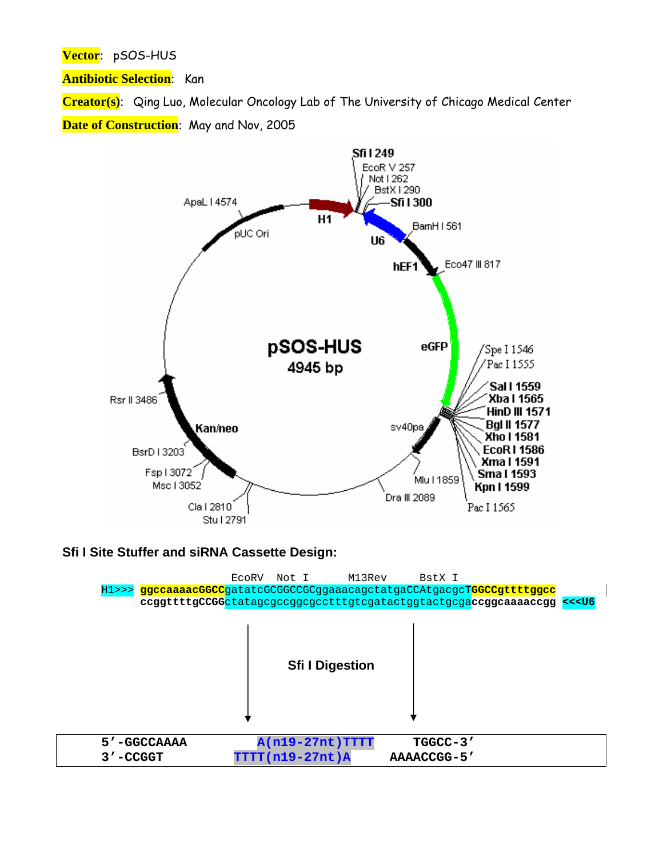Vector: pSOS-HUS

**Antibiotic Selection:** Kan

Creator(s): Qing Luo, Molecular Oncology Lab of The University of Chicago Medical Center Date of Construction: May and Nov, 2005



## Sfi I Site Stuffer and siRNA Cassette Design:

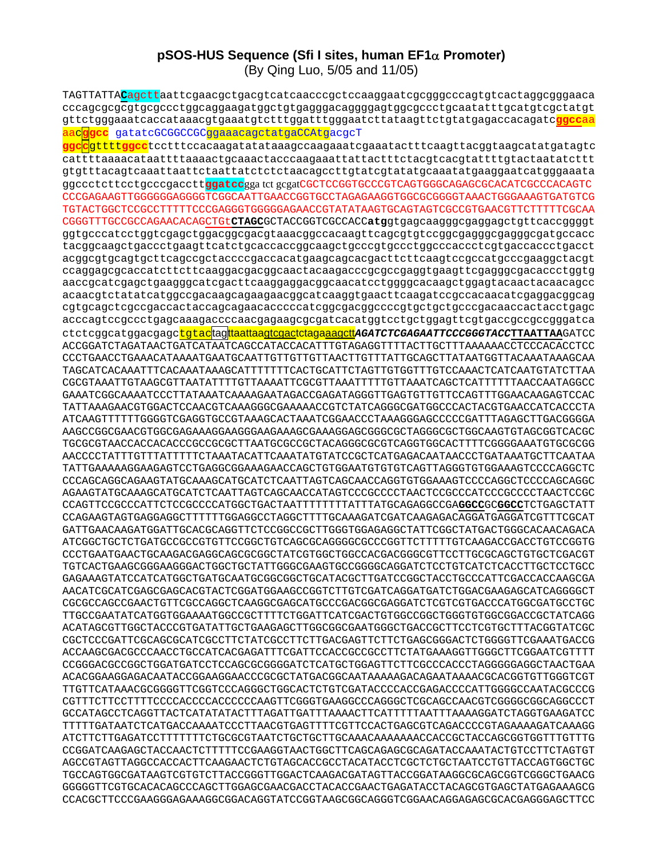## pSOS-HUS Sequence (Sfi I sites, human  $EFA\alpha$  Promoter) (By Qing Luo, 5/05 and 11/05)

TAGTTATTACagcttaattcgaacgctgacgtcatcaacccgctccaaggaatcgcgggcccagtgtcactaggcgggaaca cccagcgcgcgtgcgccctggcaggaagatggctgtgagggacaggggagtggcgccctgcaatatttgcatgtcgctatgt gttctgggaaatcaccataaacgtgaaatgtctttggatttgggaatcttataagttctgtatgagaccacagatc<mark>ggccaa</mark> aacggcc gatatcGCGGCCGCggaaacagctatgaCCAtgacgcT

<mark>ggccgttttggcc</mark>tcctttccacaagatatataaagccaagaaatcgaaatactttcaagttacggtaagcatatgatagtc cattttaaaacataattttaaaactqcaaactacccaaqaaattattactttctacqtcacqtattttqtactaatatcttt gtgtttacagtcaaattaattctaattatctctctaacagccttgtatcgtatatgcaaatatgaaggaatcatgggaaata ggccctcttcctgcccgaccttggatccgga tct gcgatCGCTCCGGTGCCCGTCAGTGGGCAGAGCGCACATCGCCCACAGTC CCCGAGAAGTTGGGGGGAGGGGTCGGCAATTGAACCGGTGCCTAGAGAAGGTGCGCGGGGTAAACTGGGAAAGTGATGTCG TGTACTGGCTCCGCCTTTTTCCCGAGGGTGGGGAGAACCGTATATAAGTGCAGTAGTCGCCGTGAACGTTCTTTTTCGCAA CGGGTTTGCCGCCAGAACACAGCTGtCTAGCGCTACCGGTCGCCACCatgqtqaqcaaqqqcqaqqaqctqttcaccqqqqt qqtqcccatcctqqtcqaqctqqacqqcqacqtaaacqqccacaaqttcaqcqtqtccqqcqaqqqcqaqqqcqatqccacc tacqqcaaqctqaccctqaaqttcatctqcaccaccqqcaaqctqcccqtqccctqqcccaccctcqtqaccaccctqacct acggcgtgcagtgcttcagccgctaccccgaccacatgaagcagcacgacttcttcaagtccgccatgcccgaaggctacgt ccaggagcgcaccatcttcttcaaggacgacggcaactacaagacccgcgccgaggtgaagttcgagggcgacaccctggtg aaccgcatcgagctgaagggcatcgacttcaaggaggacggcaacatcctggggcacaagctggagtacaactacaacagcc acaacgtctatatcatggccgacaagcagaagaacggcatcaaggtgaacttcaagatccgccacaacatcgaggacggcag cgtgcagctcgccgaccactaccagcagaacacccccatcggcgacggccccgtgctgctgcccgacaaccactacctgagc acccagtccgccctgagcaaagaccccaacgagaagcgcgatcacatggtcctgctggagttcgtgaccgccgccggatca ctctcggcatggacgagc<mark>tgtac</mark>tag<mark>itaatiaagicgacictaga<u>aagctt</u>aGATCTCGAGAATTCCCGGGTACCTTAATTAA</mark>GATCC ACCGGATCTAGATAACTGATCATAATCAGCCATACCACATTTGTAGAGGTTTTACTTGCTTTAAAAAACCTCCCACACCTCC CCCTGAACCTGAAACATAAAATGAATGCAATTGTTGTTGTTAACTTGTTTATTGCAGCTTATAATGGTTACAAATAAAGCAA TAGCATCACAAATTTCACAAATAAAGCATTTTTTCACTGCATTCTAGTTGTGGTTTGTCCAAACTCATCAATGTATCTTAA CGCGTAAATTGTAAGCGTTAATATTTTGTTAAAATTCGCGTTAAATTTTTGTTAAATCAGCTCATTTTTTAACCAATAGGCC GAAATCGGCAAAATCCCTTATAAATCAAAAGAATAGACCGAGATAGGGTTGAGTGTTGTTCCAGTTTGGAACAAGAGTCCAC TATTAAAGAACGTGGACTCCAACGTCAAAGGGCGAAAAACCGTCTATCAGGGCGATGGCCCACTACGTGAACCATCACCCTA ATCAAGTTTTTTGGGGTCGAGGTGCCGTAAAGCACTAAATCGGAACCCTAAAGGGAGCCCCCGATTTAGAGCTTGACGGGGA AAGCCGGCGAACGTGGCGAGAAAGGAAGGGAAGAAAGCGAAAGGAGCGGCGCCTAGGGCGCTGGCAAGTGTAGCGGTCACGC TGCGCGTAACCACCACCACCCGCCGCTTAATGCGCCGCTACAGGGCGCGTCAGGTGGCACTTTTCGGGGAAATGTGCGCGG AACCCCTATTTGTTTATTTTCTAAATACATTCAAATATGTATCCGCTCATGAGACAATAACCCTGATAAATGCTTCAATAA TATTGAAAAAGGAAGAGTCCTGAGGCGGAAAGAACCAGCTGTGGAATGTGTCAGTTAGGGTGTGGAAAGTCCCCAGGCTC CCCAGCAGACAGAAAGTATGCAAAGCATGCATCTCAATTAGTCAGCAACCAGGTGTGGAAAGTCCCCAGGCTCCCCAGCAGGC AGAAGTATGCAAAGCATGCATCTCAATTAGTCAGCAACCATAGTCCCGCCCCTAACTCCGCCCATCCCGCCCTAACTCCGC GATTGAACAAGATGGATTGCACGCAGGTTCTCCGGCCGCTTGGGTGGAGAGGCTATTCGGCTATGACTGGCACAACAGACA TGTCACTGAAGCGGGAAGGGACTGGCTGCTATTGGGCGAAGTGCCGGGGCAGGATCTCCTGTCATCTCACCTTGCTCCTGCC GAGAAAGTATCCATCATGGCTGATGCAATGCGGCGGCTGCATACGCTTGATCCGGCTACCTGCCCATTCGACCACCAAGCGA AACATCGCATCGAGCGAGCACGTACTCGGATGGAAGCCGGTCTTGTCGATCAGGATGATCTGGACGAAGAGCATCAGGGGCT CGCGCCAGCCGAACTGTTCGCCAGGCTCAAGGCGAGCATGCCCGACGGCGAGGATCTCGTCGTCACCCATGGCGATGCCTGC TTGCCGAATATCATGGTGGAAAATGGCCGCTTTTCTGGATTCATCGACTGTGGCCGGCTGGGTGTGGCGGACCGCTATCAGG ACATAGCGTTGGCTACCCGTGATATTGCTGAAGAGCTTGGCGGCGAATGGGCTGACCGCTTCCTCGTGCTTTACGGTATCGC CGCTCCCGATTCGCAGCGCATCGCCTTCTATCGCCTTCTTGACGAGTTCTTCTGAGCGGGACTCTGGGGTTCGAAATGACCG ACCAAGCGACGCCCAACCTGCCATCACGAGATTTCGATTCCACCGCCGCCTTCTATGAAAGGTTGGGCTTCGGAATCGTTTT CCGGGACGCCGGCTGGATGATCCTCCAGCGCGGGGATCTCATGCTGGAGTTCTTCGCCCACCCTAGGGGGAGGCTAACTGAA ACACGGAAGGAGACAATACCGGAAGGAACCCGCGCTATGACGGCAATAAAAAGACAGAATAAAACGCACGGTGTTGGGTCGT TTGTTCATAAACGCGGGGTTCCGTCCCAGGGCTGGCACTCTGTCGATACCCCACCGAGACCCCATTGGGGCCAATACGCCCG CGTTTCTTCCTTTTCCCCACCCCACCCCCCAAGTTCGGGTGAAGGCCCAGGGCTCGCAGCCAACGTCGGGGCGGCAGGCCCT TTTTTGATAATCTCATGACCAAAATCCCTTAACGTGAGTTTTCGTTCCACTGAGCGTCAGACCCCGTAGAAAAGATCAAAGG CCGGATCAAGAGCTACCAACTCTTTTTCCGAAGGTAACTGGCTTCAGCAGAGCGCAGATACCAAATACTGTCCTTCTAGTGT AGCCGTAGTTAGGCCACCACTTCAAGAACTCTGTAGCACCGCCTACATACCTCGCTCTGCTAATCCTGTTACCAGTGGCTGC TGCCAGTGGCGATAAGTCGTGTCTTACCGGGTTGGACTCAAGACGATAGTTACCGGATAAGGCGCAGCGGTCGGGCTGAACG GGGGGTTCGTGCACACAGCCCAGCTTGGAGCGAACGACCTACACCGAACTGAGATACCTACAGCGTGAGCTATGAGAAAGCG CCACGCTTCCCGAAGGGAGAAAGGCGGACAGGTATCCGGTAAGCGGCAGGGTCGGAACAGGAGAGCGCACGAGGGAGCTTCC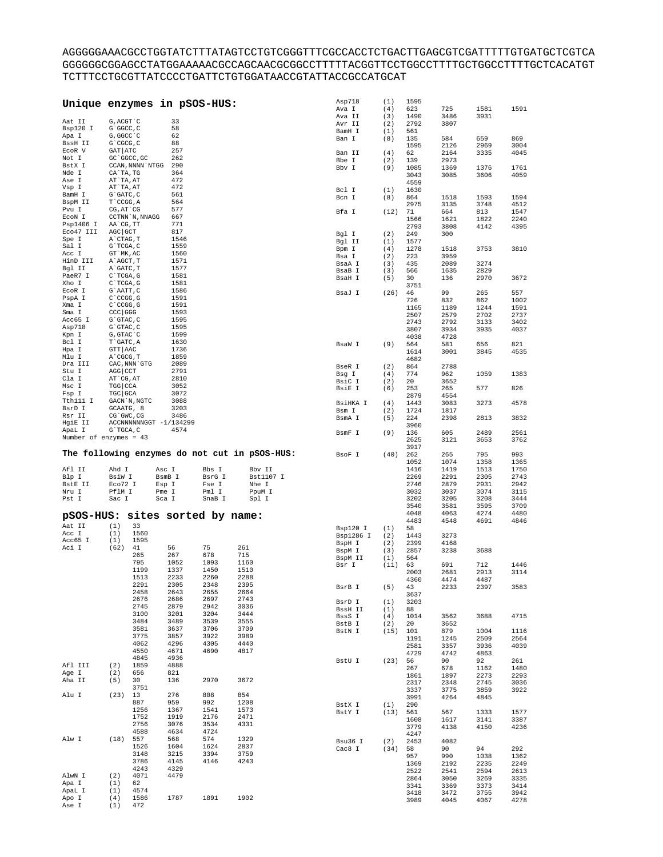${\bf AGGGGBAAACGCCTGGTATCTTTATAGTCCTGTCGGGTTTCCCCACCTCTGACTTGAGCGTCGATTTTTTGTGATGCTCGTCA$ GGGGGGCGGAGCCTATGGAAAAACGCCAGCAACGCGGCCTTTTTACGGTTCCTGGCCTTTTGCTGGCCTTTTGCTCACATGT 

| Unique enzymes in pSOS-HUS: |                       |                  |                        |        |                                               | Asp718<br>Ava I | (1)<br>(4) | 1595<br>623  | 725          | 1581         | 1591         |
|-----------------------------|-----------------------|------------------|------------------------|--------|-----------------------------------------------|-----------------|------------|--------------|--------------|--------------|--------------|
|                             |                       |                  |                        |        |                                               | Ava II          | (3)        | 1490         | 3486         | 3931         |              |
| Aat II                      | G, ACGT `C            |                  | 33                     |        |                                               |                 |            |              |              |              |              |
| Bsp120 I                    | G`GGCC, C             |                  | 58                     |        |                                               | Avr II          | (2)        | 2792         | 3807         |              |              |
|                             | G, GGCC `C            |                  | 62                     |        |                                               | BamH I          | (1)        | 561          |              |              |              |
| Apa I                       |                       |                  |                        |        |                                               | Ban I           | (8)        | 135          | 584          | 659          | 869          |
| BssH II                     | G`CGCG, C             |                  | 88                     |        |                                               |                 |            | 1595         | 2126         | 2969         | 3004         |
| ECOR V                      | $GAT$ $ATC$           |                  | 257                    |        |                                               | Ban II          | (4)        | 62           | 2164         | 3335         | 4045         |
| Not I                       |                       | GC 'GGCC, GC     | 262                    |        |                                               | Bbe I           | (2)        | 139          | 2973         |              |              |
| BstX I                      |                       | CCAN, NNNN `NTGG | 290                    |        |                                               | Bby I           | (9)        | 1085         | 1369         | 1376         | 1761         |
| Nde I                       | CA`TA, TG             |                  | 364                    |        |                                               |                 |            |              |              |              |              |
| Ase I                       | AT`TA, AT             |                  | 472                    |        |                                               |                 |            | 3043         | 3085         | 3606         | 4059         |
| Vsp I                       | AT`TA, AT             |                  | 472                    |        |                                               |                 |            | 4559         |              |              |              |
|                             |                       |                  |                        |        |                                               | Bcl I           | (1)        | 1630         |              |              |              |
| BamH I                      | $G$ $GATC$ , $C$      |                  | 561                    |        |                                               | Bcn I           | (8)        | 864          | 1518         | 1593         | 1594         |
| BspM II                     | T`CCGG, A             |                  | 564                    |        |                                               |                 |            | 2975         | 3135         | 3748         | 4512         |
| Pvu I                       | CG, AT `CG            |                  | 577                    |        |                                               | Bfa I           | (12)       | 71           | 664          | 813          | 1547         |
| ECON I                      |                       | CCTNN `N, NNAGG  | 667                    |        |                                               |                 |            | 1566         | 1621         | 1822         | 2240         |
| Psp1406 I                   | AA`CG, TT             |                  | 771                    |        |                                               |                 |            |              |              |              |              |
| Eco47 III                   | AGC GCT               |                  | 817                    |        |                                               |                 |            | 2793         | 3808         | 4142         | 4395         |
| Spe I                       | A`CTAG, T             |                  | 1546                   |        |                                               | Bgl I           | (2)        | 249          | 300          |              |              |
|                             |                       |                  |                        |        |                                               | Bgl II          | (1)        | 1577         |              |              |              |
| Sal I                       | G`TCGA, C             |                  | 1559                   |        |                                               | Bpm I           | (4)        | 1278         | 1518         | 3753         | 3810         |
| Acc I                       | GT `MK, AC            |                  | 1560                   |        |                                               | Bsa I           | (2)        | 223          | 3959         |              |              |
| HinD III                    | A`AGCT, T             |                  | 1571                   |        |                                               | BsaA I          | (3)        | 435          | 2089         | 3274         |              |
| Bgl II                      | A`GATC, T             |                  | 1577                   |        |                                               | BsaB I          | (3)        | 566          | 1635         | 2829         |              |
| PaeR7 I                     | $C^{\dagger}TCGA$ , G |                  | 1581                   |        |                                               |                 |            |              |              |              |              |
| Xho I                       | C`TCGA, G             |                  | 1581                   |        |                                               | BsaH I          | (5)        | 30           | 136          | 2970         | 3672         |
|                             |                       |                  |                        |        |                                               |                 |            | 3751         |              |              |              |
| ECOR I                      | G`AATT, C             |                  | 1586                   |        |                                               | BsaJ I          | (26)       | 46           | 99           | 265          | 557          |
| PspA I                      | C CCGG, G             |                  | 1591                   |        |                                               |                 |            | 726          | 832          | 862          | 1002         |
| Xma I                       | C CCGG, G             |                  | 1591                   |        |                                               |                 |            | 1165         | 1189         | 1244         | 1591         |
| Sma I                       | CCC GGG               |                  | 1593                   |        |                                               |                 |            | 2507         | 2579         | 2702         | 2737         |
| Acc65 I                     | G`GTAC, C             |                  | 1595                   |        |                                               |                 |            |              | 2792         |              | 3402         |
| Asp718                      | $G$ $GTAC$ , $C$      |                  | 1595                   |        |                                               |                 |            | 2743         |              | 3133         |              |
| Kpn I                       | G, GTAC `C            |                  | 1599                   |        |                                               |                 |            | 3807         | 3934         | 3935         | 4037         |
|                             |                       |                  |                        |        |                                               |                 |            | 4038         | 4728         |              |              |
| Bcl I                       | T`GATC, A             |                  | 1630                   |        |                                               | BsaW I          | (9)        | 564          | 581          | 656          | 821          |
| Hpa I                       | GTT AAC               |                  | 1736                   |        |                                               |                 |            | 1614         | 3001         | 3845         | 4535         |
| Mlu I                       | A CGCG, T             |                  | 1859                   |        |                                               |                 |            | 4682         |              |              |              |
| Dra III                     |                       | CAC, NNN GTG     | 2089                   |        |                                               |                 |            |              |              |              |              |
| Stu I                       | AGG CCT               |                  | 2791                   |        |                                               | BseR I          | (2)        | 864          | 2788         |              |              |
| Cla I                       |                       |                  |                        |        |                                               | Bsg I           | (4)        | 774          | 962          | 1059         | 1383         |
|                             | AT CG, AT             |                  | 2810                   |        |                                               | BsiC I          | (2)        | 20           | 3652         |              |              |
| Msc I                       | TGG   CCA             |                  | 3052                   |        |                                               | BsiE I          | (6)        | 253          | 265          | 577          | 826          |
| Fsp I                       | TGC GCA               |                  | 3072                   |        |                                               |                 |            | 2879         | 4554         |              |              |
| Tth111 I                    |                       | GACN `N, NGTC    | 3088                   |        |                                               | BsiHKA I        | (4)        | 1443         | 3083         | 3273         | 4578         |
| BsrD I                      | GCAATG, 8             |                  | 3203                   |        |                                               |                 |            |              |              |              |              |
| Rsr II                      | CG`GWC, CG            |                  | 3486                   |        |                                               | Bsm I           | (2)        | 1724         | 1817         |              |              |
|                             |                       |                  |                        |        |                                               | BsmA I          | (5)        | 224          | 2398         | 2813         | 3832         |
| HgiE II                     |                       |                  | ACCNNNNNNGGT -1/134299 |        |                                               |                 |            | 3960         |              |              |              |
| ApaL I                      | G`TGCA, C             |                  | 4574                   |        |                                               | BsmF I          | (9)        | 136          | 605          | 2489         | 2561         |
| Number of enzymes = $43$    |                       |                  |                        |        |                                               |                 |            | 2625         | 3121         | 3653         | 3762         |
|                             |                       |                  |                        |        |                                               |                 |            | 3917         |              |              |              |
|                             |                       |                  |                        |        | The following enzymes do not cut in pSOS-HUS: |                 | (40)       |              | 265          | 795          | 993          |
|                             |                       |                  |                        |        |                                               | BsoF I          |            | 262          |              |              |              |
|                             |                       |                  |                        |        |                                               |                 |            | 1052         | 1074         | 1358         | 1365         |
| Afl II                      | Ahd I                 |                  | Asc I                  | Bbs I  | Bbv II                                        |                 |            | 1416         | 1419         | 1513         | 1750         |
| Blp I                       | BsiW I                |                  | BsmB I                 | BsrG I | Bst1107 I                                     |                 |            | 2269         | 2291         | 2305         | 2743         |
| BstE II                     | Eco72 I               |                  | Esp I                  | Fse I  | Nhe I                                         |                 |            | 2746         | 2879         | 2931         | 2942         |
| Nru I                       | PflM I                |                  | Pme I                  | Pml I  | PpuM I                                        |                 |            | 3032         | 3037         | 3074         | 3115         |
|                             | Sac I                 |                  |                        |        |                                               |                 |            | 3202         | 3205         | 3208         | 3444         |
| Pst I                       |                       |                  | Sca I                  | SnaB I | Spl I                                         |                 |            |              |              |              |              |
|                             |                       |                  |                        |        |                                               |                 |            | 3540         | 3581         | 3595         | 3709         |
| pSOS-HUS:                   |                       |                  | sites sorted by name:  |        |                                               |                 |            | 4048         | 4063         | 4274         | 4480         |
|                             |                       |                  |                        |        |                                               |                 |            | 4483         | 4548         | 4691         | 4846         |
| Aat II                      | (1)                   | 33               |                        |        |                                               | Bsp120 I        | (1)        | 58           |              |              |              |
| Acc I                       | (1)                   | 1560             |                        |        |                                               | Bsp1286 I       | (2)        | 1443         | 3273         |              |              |
| Acc65 I                     | (1)                   | 1595             |                        |        |                                               |                 | (2)        | 2399         | 4168         |              |              |
| Aci I                       | (62)                  | 41               | 56                     | 75     | 261                                           | BspH I          |            |              |              |              |              |
|                             |                       | 265              | 267                    | 678    | 715                                           | BspM I          | (3)        | 2857         | 3238         | 3688         |              |
|                             |                       | 795              | 1052                   | 1093   | 1160                                          | BspM II         | (1)        | 564          |              |              |              |
|                             |                       |                  |                        |        |                                               |                 |            |              |              | 712          | 1446         |
|                             |                       | 1199             |                        |        |                                               | Bsr I           | (11)       | 63           | 691          |              |              |
|                             |                       |                  | 1337                   | 1450   | 1510                                          |                 |            | 2003         | 2681         | 2913         | 3114         |
|                             |                       | 1513             | 2233                   | 2260   | 2288                                          |                 |            |              |              |              |              |
|                             |                       | 2291             | 2305                   | 2348   | 2395                                          |                 |            | 4360         | 4474         | 4487         |              |
|                             |                       | 2458             | 2643                   | 2655   | 2664                                          | BsrB I          | (5)        | 43           | 2233         | 2397         | 3583         |
|                             |                       |                  |                        |        |                                               |                 |            | 3637         |              |              |              |
|                             |                       | 2676             | 2686                   | 2697   | 2743                                          | BsrD I          | (1)        | 3203         |              |              |              |
|                             |                       | 2745             | 2879                   | 2942   | 3036                                          | BssH II         | (1)        | 88           |              |              |              |
|                             |                       | 3100             | 3201                   | 3204   | 3444                                          | BssS I          | (4)        | 1014         | 3562         | 3688         | 4715         |
|                             |                       | 3484             | 3489                   | 3539   | 3555                                          |                 |            |              |              |              |              |
|                             |                       | 3581             | 3637                   | 3706   | 3709                                          | BstB I          | (2)        | 20           | 3652         |              |              |
|                             |                       | 3775             | 3857                   | 3922   | 3989                                          | BstN I          | (15)       | 101          | 879          | 1004         | 1116         |
|                             |                       |                  |                        |        |                                               |                 |            | 1191         | 1245         | 2509         | 2564         |
|                             |                       | 4062             | 4296                   | 4305   | 4440                                          |                 |            | 2581         | 3357         | 3936         | 4039         |
|                             |                       | 4550             | 4671                   | 4690   | 4817                                          |                 |            | 4729         | 4742         | 4863         |              |
|                             |                       | 4845             | 4936                   |        |                                               | BstU I          | (23)       | 56           | 90           | 92           | 261          |
| Afl III                     | (2)                   | 1859             | 4888                   |        |                                               |                 |            | 267          | 678          | 1162         | 1480         |
| Age I                       | (2)                   | 656              | 821                    |        |                                               |                 |            |              |              |              |              |
| Aha II                      | (5)                   | 30               | 136                    | 2970   | 3672                                          |                 |            | 1861         | 1897         | 2273         | 2293         |
|                             |                       | 3751             |                        |        |                                               |                 |            | 2317         | 2348         | 2745         | 3036         |
|                             |                       |                  |                        |        |                                               |                 |            | 3337         | 3775         | 3859         | 3922         |
| Alu I                       | (23)                  | 13               | 276                    | 808    | 854                                           |                 |            | 3991         | 4264         | 4845         |              |
|                             |                       | 887              | 959                    | 992    | 1208                                          | BstX I          | (1)        | 290          |              |              |              |
|                             |                       | 1256             | 1367                   | 1541   | 1573                                          | BstY I          | (13)       | 561          | 567          | 1333         | 1577         |
|                             |                       | 1752             | 1919                   | 2176   | 2471                                          |                 |            | 1608         | 1617         | 3141         | 3387         |
|                             |                       | 2756             | 3076                   | 3534   | 4331                                          |                 |            |              |              |              |              |
|                             |                       | 4588             | 4634                   | 4724   |                                               |                 |            | 3779         | 4138         | 4150         | 4236         |
| Alw I                       | (18)                  | 557              | 568                    | 574    | 1329                                          |                 |            | 4247         |              |              |              |
|                             |                       |                  |                        |        |                                               | Bsu36 I         | (2)        | 2453         | 4082         |              |              |
|                             |                       | 1526             | 1604                   | 1624   | 2837                                          | Cac8 I          | (34)       | 58           | 90           | 94           | 292          |
|                             |                       | 3148             | 3215                   | 3394   | 3759                                          |                 |            | 957          | 990          | 1038         | 1362         |
|                             |                       | 3786             | 4145                   | 4146   | 4243                                          |                 |            | 1369         | 2192         | 2235         | 2249         |
|                             |                       | 4243             | 4329                   |        |                                               |                 |            | 2522         | 2541         | 2594         | 2613         |
| AlwN I                      | (2)                   | 4071             | 4479                   |        |                                               |                 |            |              |              |              |              |
| Apa I                       | (1)                   | 62               |                        |        |                                               |                 |            | 2864         | 3050         | 3269         | 3335         |
| ApaL I                      | (1)                   | 4574             |                        |        |                                               |                 |            | 3341         | 3369         | 3373         | 3414         |
| Apo I                       | (4)                   | 1586             | 1787                   | 1891   | 1902                                          |                 |            | 3418<br>3989 | 3472<br>4045 | 3755<br>4067 | 3942<br>4278 |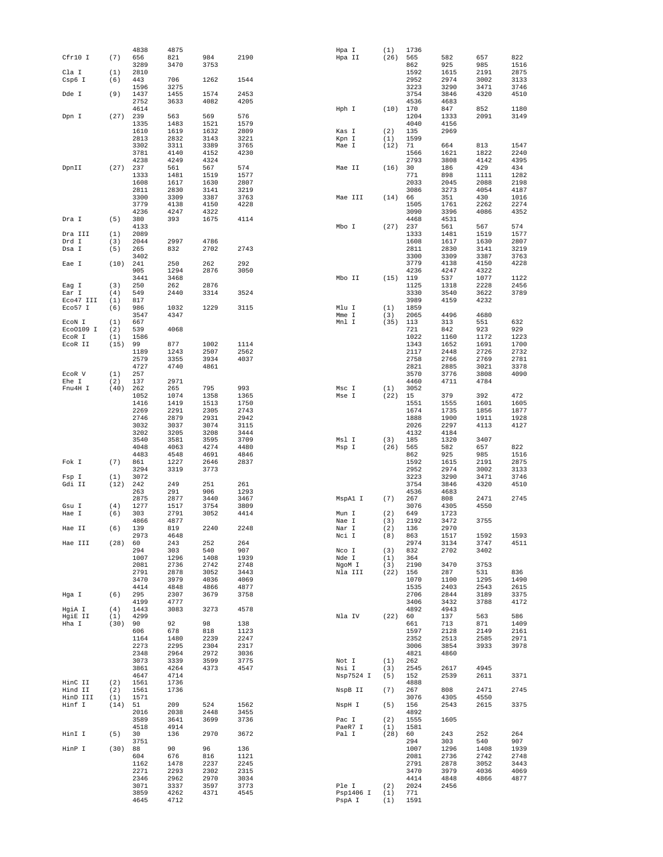|           |      | 4838 | 4875 |      |      | Hpa I     | (1)  | 1736 |      |      |      |
|-----------|------|------|------|------|------|-----------|------|------|------|------|------|
| Cfr10 I   | (7)  | 656  | 821  | 984  | 2190 | Hpa II    | (26) | 565  | 582  | 657  | 822  |
|           |      | 3289 | 3470 | 3753 |      |           |      | 862  | 925  | 985  | 1516 |
| Cla I     | (1)  | 2810 |      |      |      |           |      | 1592 | 1615 | 2191 | 2875 |
| Csp6 I    | (6)  | 443  | 706  | 1262 | 1544 |           |      | 2952 | 2974 | 3002 | 3133 |
|           |      | 1596 | 3275 |      |      |           |      | 3223 | 3290 | 3471 | 3746 |
| Dde I     | (9)  | 1437 | 1455 | 1574 | 2453 |           |      | 3754 | 3846 | 4320 | 4510 |
|           |      | 2752 | 3633 | 4082 | 4205 |           |      | 4536 | 4683 |      |      |
|           |      | 4614 |      |      |      | Hph I     | (10) | 170  | 847  | 852  | 1180 |
| Dpn I     | (27) | 239  | 563  | 569  | 576  |           |      | 1204 | 1333 | 2091 | 3149 |
|           |      | 1335 | 1483 | 1521 | 1579 |           |      | 4040 | 4156 |      |      |
|           |      | 1610 | 1619 | 1632 | 2809 | Kas I     | (2)  | 135  | 2969 |      |      |
|           |      | 2813 | 2832 | 3143 | 3221 | Kpn I     | (1)  | 1599 |      |      |      |
|           |      | 3302 | 3311 | 3389 | 3765 | Mae I     | (12) | 71   | 664  | 813  | 1547 |
|           |      | 3781 | 4140 | 4152 | 4230 |           |      | 1566 | 1621 | 1822 | 2240 |
|           |      | 4238 | 4249 | 4324 |      |           |      | 2793 | 3808 | 4142 | 4395 |
| DpnII     | (27) | 237  | 561  | 567  | 574  | Mae II    | (16) | 30   | 186  | 429  | 434  |
|           |      | 1333 | 1481 | 1519 | 1577 |           |      | 771  | 898  | 1111 | 1282 |
|           |      | 1608 | 1617 | 1630 | 2807 |           |      | 2033 | 2045 | 2088 | 2198 |
|           |      | 2811 | 2830 | 3141 | 3219 |           |      | 3086 | 3273 | 4054 | 4187 |
|           |      | 3300 | 3309 | 3387 | 3763 | Mae III   | (14) | 66   | 351  | 430  | 1016 |
|           |      | 3779 | 4138 | 4150 | 4228 |           |      | 1505 | 1761 | 2262 | 2274 |
|           |      | 4236 | 4247 | 4322 |      |           |      | 3090 | 3396 | 4086 | 4352 |
| Dra I     | (5)  | 380  | 393  | 1675 | 4114 |           |      | 4468 | 4531 |      |      |
|           |      | 4133 |      |      |      | Mbo I     | (27) | 237  | 561  | 567  | 574  |
| Dra III   | (1)  | 2089 |      |      |      |           |      | 1333 | 1481 | 1519 | 1577 |
| Drd I     | (3)  | 2044 | 2997 | 4786 |      |           |      | 1608 | 1617 | 1630 | 2807 |
| Dsa I     | (5)  | 265  | 832  | 2702 | 2743 |           |      | 2811 | 2830 | 3141 | 3219 |
|           |      | 3402 |      |      |      |           |      | 3300 | 3309 | 3387 | 3763 |
| Eae I     | (10) | 241  | 250  | 262  | 292  |           |      | 3779 | 4138 | 4150 | 4228 |
|           |      | 905  | 1294 | 2876 | 3050 |           |      | 4236 | 4247 | 4322 |      |
|           |      | 3441 | 3468 |      |      | Mbo II    | (15) | 119  | 537  | 1077 | 1122 |
| Eag I     | (3)  | 250  | 262  | 2876 |      |           |      | 1125 | 1318 | 2228 | 2456 |
| Ear I     | (4)  | 549  | 2440 | 3314 | 3524 |           |      | 3330 | 3540 | 3622 | 3789 |
| Eco47 III | (1)  | 817  |      |      |      |           |      | 3989 | 4159 | 4232 |      |
| Eco57 I   | (6)  | 986  | 1032 | 1229 | 3115 | Mlu I     | (1)  | 1859 |      |      |      |
|           |      | 3547 | 4347 |      |      | Mme I     | (3)  | 2065 | 4496 | 4680 |      |
| ECON I    | (1)  | 667  |      |      |      | Mnl I     | (35) | 113  | 313  | 551  | 632  |
| Eco0109 I | (2)  | 539  | 4068 |      |      |           |      | 721  | 842  | 923  | 929  |
| EcoR I    | (1)  | 1586 |      |      |      |           |      | 1022 | 1160 | 1172 | 1223 |
| ECOR II   | (15) | 99   | 877  | 1002 | 1114 |           |      | 1343 | 1652 | 1691 | 1700 |
|           |      | 1189 | 1243 | 2507 | 2562 |           |      | 2117 | 2448 | 2726 | 2732 |
|           |      | 2579 | 3355 | 3934 | 4037 |           |      | 2758 | 2766 | 2769 | 2781 |
|           |      | 4727 | 4740 | 4861 |      |           |      | 2821 | 2885 | 3021 | 3378 |
| ECOR V    | (1)  | 257  |      |      |      |           |      | 3570 | 3776 | 3808 | 4090 |
| Ehe I     | (2)  | 137  | 2971 |      |      |           |      | 4460 | 4711 | 4784 |      |
| Fnu4H I   | (40) | 262  | 265  | 795  | 993  | Msc I     | (1)  | 3052 |      |      |      |
|           |      | 1052 | 1074 | 1358 | 1365 | Mse I     | (22) | 15   | 379  | 392  | 472  |
|           |      | 1416 | 1419 | 1513 | 1750 |           |      | 1551 | 1555 | 1601 | 1605 |
|           |      | 2269 | 2291 | 2305 | 2743 |           |      | 1674 | 1735 | 1856 | 1877 |
|           |      | 2746 | 2879 | 2931 | 2942 |           |      | 1888 | 1900 | 1911 | 1928 |
|           |      | 3032 | 3037 | 3074 | 3115 |           |      | 2026 | 2297 | 4113 | 4127 |
|           |      | 3202 | 3205 | 3208 | 3444 |           |      | 4132 | 4184 |      |      |
|           |      | 3540 | 3581 | 3595 | 3709 | Msl I     | (3)  | 185  | 1320 | 3407 |      |
|           |      | 4048 | 4063 | 4274 | 4480 | Msp I     | (26) | 565  | 582  | 657  | 822  |
|           |      | 4483 | 4548 | 4691 | 4846 |           |      | 862  | 925  | 985  | 1516 |
| Fok I     | (7)  | 861  | 1227 | 2646 | 2837 |           |      | 1592 | 1615 | 2191 | 2875 |
|           |      | 3294 | 3319 | 3773 |      |           |      | 2952 | 2974 | 3002 | 3133 |
| Fsp I     | (1)  | 3072 |      |      |      |           |      | 3223 | 3290 | 3471 | 3746 |
| Gdi II    | (12) | 242  | 249  | 251  | 261  |           |      | 3754 | 3846 | 4320 | 4510 |
|           |      | 263  | 291  | 906  | 1293 |           |      | 4536 | 4683 |      |      |
|           |      | 2875 | 2877 | 3440 | 3467 | MspAl I   | (7)  | 267  | 808  | 2471 | 2745 |
| Gsu I     | (4)  | 1277 | 1517 | 3754 | 3809 |           |      | 3076 | 4305 | 4550 |      |
| Hae I     | (6)  | 303  | 2791 | 3052 | 4414 | Mun I     | (2)  | 649  | 1723 |      |      |
|           |      | 4866 | 4877 |      |      | Nae I     | (3)  | 2192 | 3472 | 3755 |      |
| Hae II    | (6)  | 139  | 819  | 2240 | 2248 | Nar I     | (2)  | 136  | 2970 |      |      |
|           |      | 2973 | 4648 |      |      | Nci I     | (8)  | 863  | 1517 | 1592 | 1593 |
| Hae III   | (28) | 60   | 243  | 252  | 264  |           |      | 2974 | 3134 | 3747 | 4511 |
|           |      | 294  | 303  | 540  | 907  | Nco I     | (3)  | 832  | 2702 | 3402 |      |
|           |      | 1007 | 1296 | 1408 | 1939 | Nde I     | (1)  | 364  |      |      |      |
|           |      | 2081 | 2736 | 2742 | 2748 | NgoM I    | (3)  | 2190 | 3470 | 3753 |      |
|           |      | 2791 | 2878 | 3052 | 3443 | Nla III   | (22) | 156  | 287  | 531  | 836  |
|           |      | 3470 | 3979 | 4036 | 4069 |           |      | 1070 | 1100 | 1295 | 1490 |
|           |      | 4414 | 4848 | 4866 | 4877 |           |      | 1535 | 2403 | 2543 | 2615 |
| Hga I     | (6)  | 295  | 2307 | 3679 | 3758 |           |      | 2706 | 2844 | 3189 | 3375 |
|           |      | 4199 | 4777 |      |      |           |      | 3406 | 3432 | 3788 | 4172 |
| HgiA I    | (4)  | 1443 | 3083 | 3273 | 4578 |           |      | 4892 | 4943 |      |      |
| HgiE II   | (1)  | 4299 |      |      |      | Nla IV    | (22) | 60   | 137  | 563  | 586  |
| Hha I     | (30) | 90   | 92   | 98   | 138  |           |      | 661  | 713  | 871  | 1409 |
|           |      | 606  | 678  | 818  | 1123 |           |      | 1597 | 2128 | 2149 | 2161 |
|           |      | 1164 | 1480 | 2239 | 2247 |           |      | 2352 | 2513 | 2585 | 2971 |
|           |      | 2273 | 2295 | 2304 | 2317 |           |      | 3006 | 3854 | 3933 | 3978 |
|           |      | 2348 | 2964 | 2972 | 3036 |           |      | 4821 | 4860 |      |      |
|           |      | 3073 | 3339 | 3599 | 3775 | Not I     | (1)  | 262  |      |      |      |
|           |      | 3861 | 4264 | 4373 | 4547 | Nsi I     | (3)  | 2545 | 2617 | 4945 |      |
|           |      | 4647 | 4714 |      |      | Nsp7524 I | (5)  | 152  | 2539 | 2611 | 3371 |
| HinC II   | (2)  | 1561 | 1736 |      |      |           |      | 4888 |      |      |      |
| Hind II   | (2)  | 1561 | 1736 |      |      | NspB II   | (7)  | 267  | 808  | 2471 | 2745 |
| HinD III  | (1)  | 1571 |      |      |      |           |      | 3076 | 4305 | 4550 |      |
| Hinf I    | (14) | 51   | 209  | 524  | 1562 | NspH I    | (5)  | 156  | 2543 | 2615 | 3375 |
|           |      | 2016 | 2038 | 2448 | 3455 |           |      | 4892 |      |      |      |
|           |      | 3589 | 3641 | 3699 | 3736 | Pac I     | (2)  | 1555 | 1605 |      |      |
|           |      | 4518 | 4914 |      |      | PaeR7 I   | (1)  | 1581 |      |      |      |
| HinI I    | (5)  | 30   | 136  | 2970 | 3672 | Pal I     | (28) | 60   | 243  | 252  | 264  |
|           |      | 3751 |      |      |      |           |      | 294  | 303  | 540  | 907  |
| HinP I    | (30) | 88   | 90   | 96   | 136  |           |      | 1007 | 1296 | 1408 | 1939 |
|           |      | 604  | 676  | 816  | 1121 |           |      | 2081 | 2736 | 2742 | 2748 |
|           |      | 1162 | 1478 | 2237 | 2245 |           |      | 2791 | 2878 | 3052 | 3443 |
|           |      | 2271 | 2293 | 2302 | 2315 |           |      | 3470 | 3979 | 4036 | 4069 |
|           |      | 2346 | 2962 | 2970 | 3034 |           |      | 4414 | 4848 | 4866 | 4877 |
|           |      | 3071 | 3337 | 3597 | 3773 | Ple I     | (2)  | 2024 | 2456 |      |      |
|           |      | 3859 | 4262 | 4371 | 4545 | Psp1406 I | (1)  | 771  |      |      |      |
|           |      | 4645 | 4712 |      |      | PspA I    | (1)  | 1591 |      |      |      |